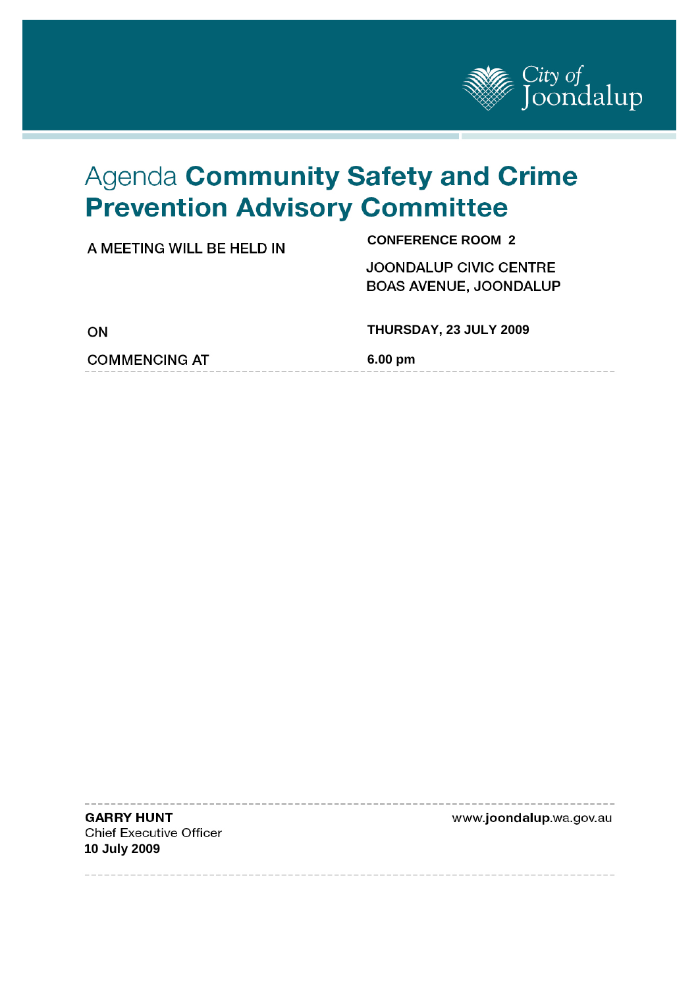

# Agenda Community Safety and Crime **Prevention Advisory Committee**

| A MEETING WILL BE HELD IN | <b>CONFERENCE ROOM 2</b>                                       |
|---------------------------|----------------------------------------------------------------|
|                           | <b>JOONDALUP CIVIC CENTRE</b><br><b>BOAS AVENUE, JOONDALUP</b> |
| ON                        | THURSDAY, 23 JULY 2009                                         |
| <b>COMMENCING AT</b>      | 6.00 pm                                                        |
|                           |                                                                |

**GARRY HUNT Chief Executive Officer 10 July 2009** 

j

www.joondalup.wa.gov.au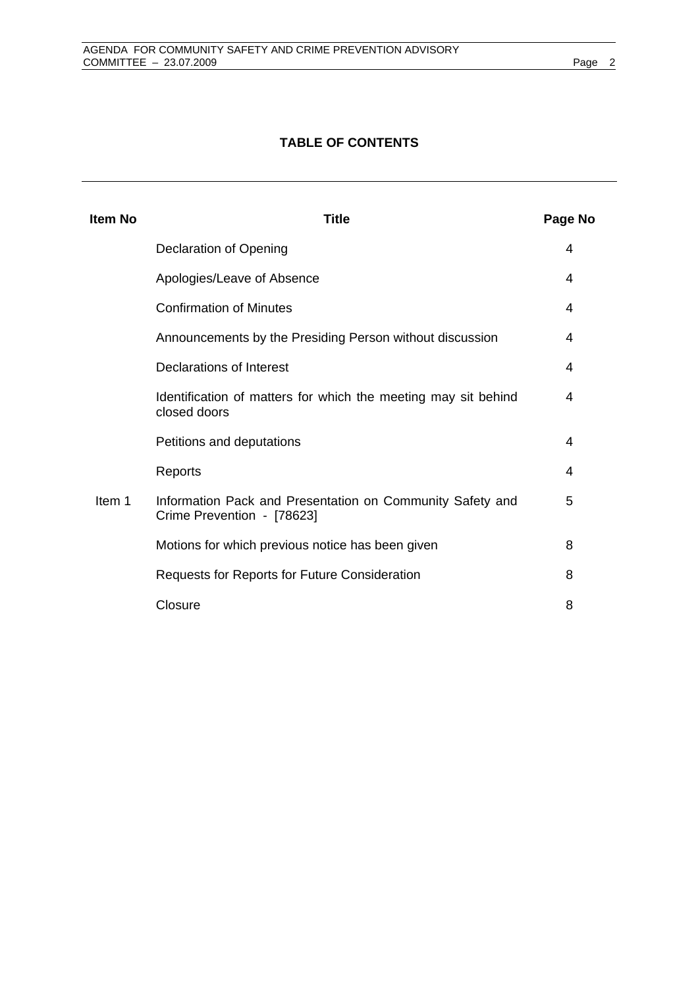### **TABLE OF CONTENTS**

| <b>Item No</b> | <b>Title</b>                                                                            | Page No |
|----------------|-----------------------------------------------------------------------------------------|---------|
|                | Declaration of Opening                                                                  | 4       |
|                | Apologies/Leave of Absence                                                              | 4       |
|                | <b>Confirmation of Minutes</b>                                                          | 4       |
|                | Announcements by the Presiding Person without discussion                                | 4       |
|                | Declarations of Interest                                                                | 4       |
|                | Identification of matters for which the meeting may sit behind<br>closed doors          | 4       |
|                | Petitions and deputations                                                               | 4       |
|                | Reports                                                                                 | 4       |
| Item 1         | Information Pack and Presentation on Community Safety and<br>Crime Prevention - [78623] | 5       |
|                | Motions for which previous notice has been given                                        | 8       |
|                | Requests for Reports for Future Consideration                                           | 8       |
|                | Closure                                                                                 | 8       |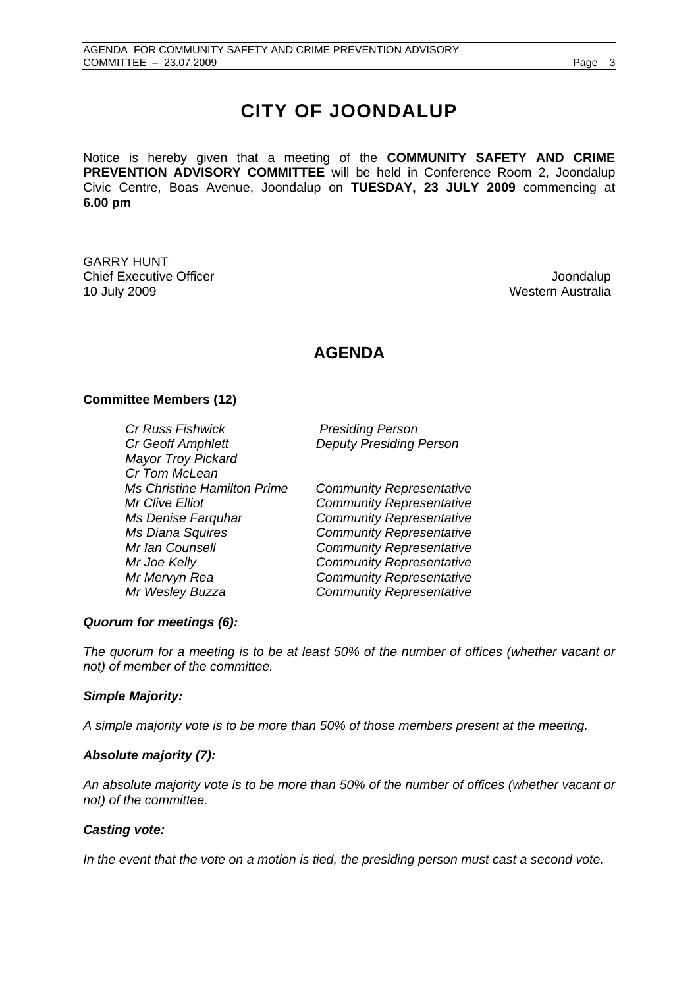# **CITY OF JOONDALUP**

Notice is hereby given that a meeting of the **COMMUNITY SAFETY AND CRIME PREVENTION ADVISORY COMMITTEE** will be held in Conference Room 2, Joondalup Civic Centre, Boas Avenue, Joondalup on **TUESDAY, 23 JULY 2009** commencing at **6.00 pm** 

GARRY HUNT **Chief Executive Officer Joseph According to the Chief Executive Officer Joondalup** 10 July 2009 Western Australia

# **AGENDA**

#### **Committee Members (12)**

*Cr Russ Fishwick Presiding Person Cr Geoff Amphlett Deputy Presiding Person Mayor Troy Pickard Cr Tom McLean Ms Christine Hamilton Prime Community Representative Mr Clive Elliot Community Representative Ms Denise Farquhar Community Representative Ms Diana Squires Community Representative Mr Ian Counsell Community Representative Mr Joe Kelly Community Representative Mr Mervyn Rea Community Representative* 

*Mr Wesley Buzza Community Representative* 

#### *Quorum for meetings (6):*

*The quorum for a meeting is to be at least 50% of the number of offices (whether vacant or not) of member of the committee.* 

#### *Simple Majority:*

*A simple majority vote is to be more than 50% of those members present at the meeting.* 

#### *Absolute majority (7):*

*An absolute majority vote is to be more than 50% of the number of offices (whether vacant or not) of the committee.* 

#### *Casting vote:*

In the event that the vote on a motion is tied, the presiding person must cast a second vote.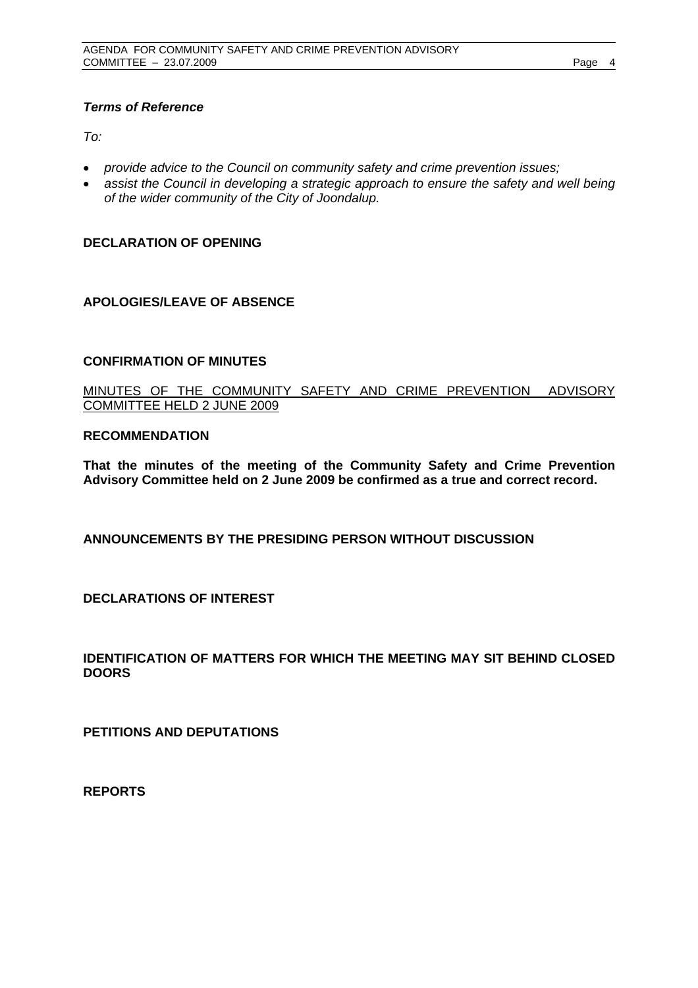#### *Terms of Reference*

 $To^{\ldots}$ 

- *provide advice to the Council on community safety and crime prevention issues;*
- *assist the Council in developing a strategic approach to ensure the safety and well being of the wider community of the City of Joondalup.*

#### **DECLARATION OF OPENING**

#### **APOLOGIES/LEAVE OF ABSENCE**

#### **CONFIRMATION OF MINUTES**

MINUTES OF THE COMMUNITY SAFETY AND CRIME PREVENTION ADVISORY COMMITTEE HELD 2 JUNE 2009

#### **RECOMMENDATION**

**That the minutes of the meeting of the Community Safety and Crime Prevention Advisory Committee held on 2 June 2009 be confirmed as a true and correct record.** 

**ANNOUNCEMENTS BY THE PRESIDING PERSON WITHOUT DISCUSSION** 

**DECLARATIONS OF INTEREST** 

**IDENTIFICATION OF MATTERS FOR WHICH THE MEETING MAY SIT BEHIND CLOSED DOORS** 

**PETITIONS AND DEPUTATIONS** 

**REPORTS**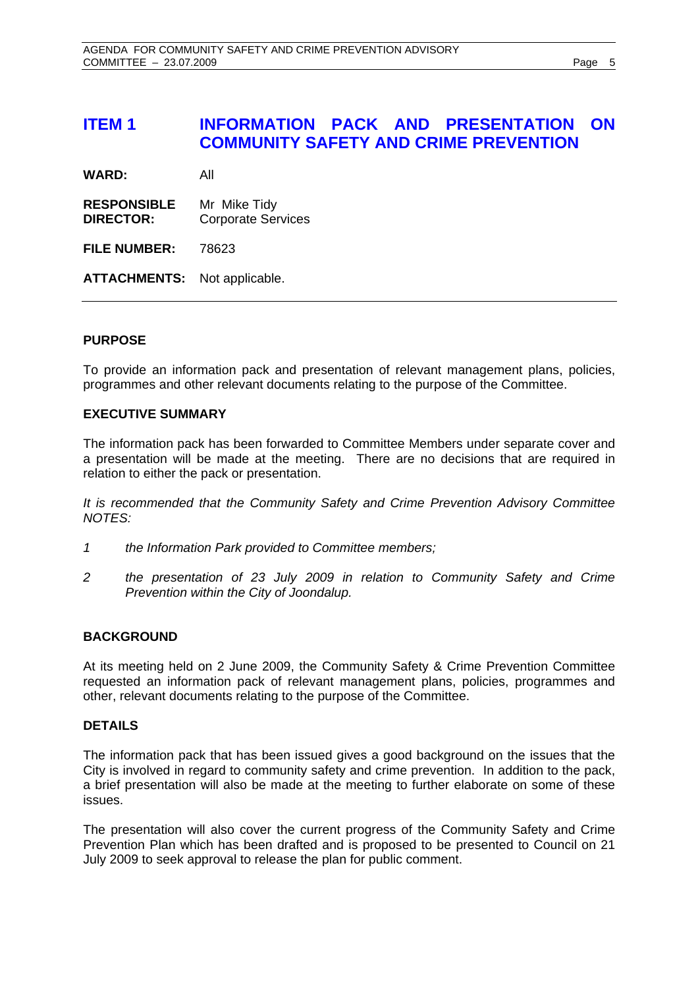## **ITEM 1 INFORMATION PACK AND PRESENTATION ON COMMUNITY SAFETY AND CRIME PREVENTION**

**WARD:** All

**RESPONSIBLE** Mr Mike Tidy **DIRECTOR:** Corporate Services

**FILE NUMBER:** 78623

**ATTACHMENTS:** Not applicable.

#### **PURPOSE**

To provide an information pack and presentation of relevant management plans, policies, programmes and other relevant documents relating to the purpose of the Committee.

#### **EXECUTIVE SUMMARY**

The information pack has been forwarded to Committee Members under separate cover and a presentation will be made at the meeting. There are no decisions that are required in relation to either the pack or presentation.

*It is recommended that the Community Safety and Crime Prevention Advisory Committee NOTES:* 

- *1 the Information Park provided to Committee members;*
- *2 the presentation of 23 July 2009 in relation to Community Safety and Crime Prevention within the City of Joondalup.*

#### **BACKGROUND**

At its meeting held on 2 June 2009, the Community Safety & Crime Prevention Committee requested an information pack of relevant management plans, policies, programmes and other, relevant documents relating to the purpose of the Committee.

#### **DETAILS**

The information pack that has been issued gives a good background on the issues that the City is involved in regard to community safety and crime prevention. In addition to the pack, a brief presentation will also be made at the meeting to further elaborate on some of these issues.

The presentation will also cover the current progress of the Community Safety and Crime Prevention Plan which has been drafted and is proposed to be presented to Council on 21 July 2009 to seek approval to release the plan for public comment.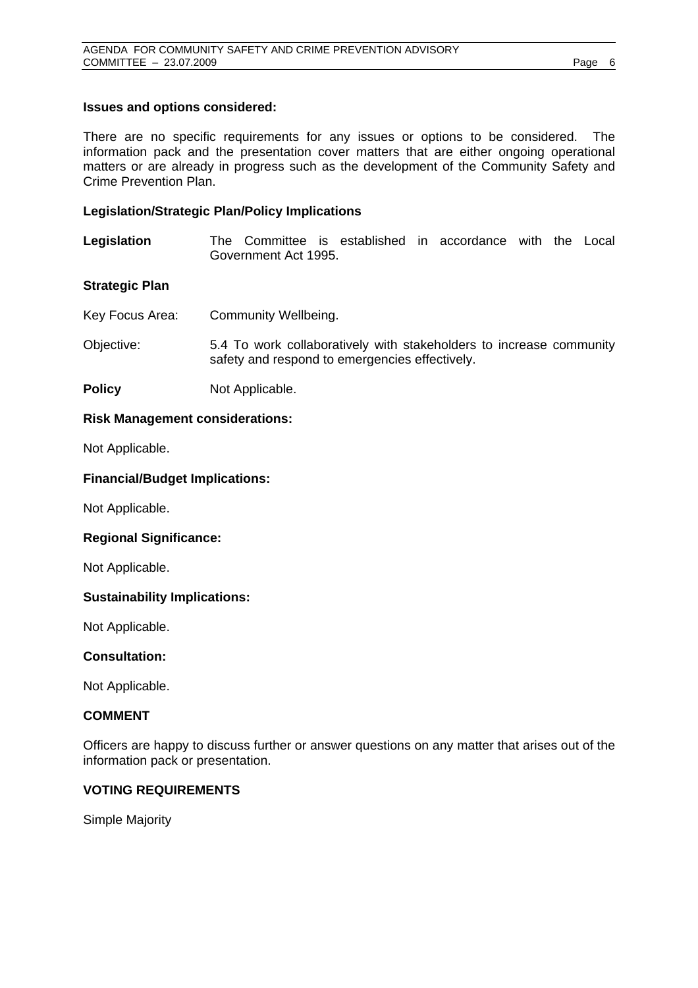#### **Issues and options considered:**

There are no specific requirements for any issues or options to be considered. The information pack and the presentation cover matters that are either ongoing operational matters or are already in progress such as the development of the Community Safety and Crime Prevention Plan.

#### **Legislation/Strategic Plan/Policy Implications**

**Legislation** The Committee is established in accordance with the Local Government Act 1995.

#### **Strategic Plan**

- Key Focus Area: Community Wellbeing.
- Objective: 5.4 To work collaboratively with stakeholders to increase community safety and respond to emergencies effectively.
- **Policy** Not Applicable.

#### **Risk Management considerations:**

Not Applicable.

#### **Financial/Budget Implications:**

Not Applicable.

#### **Regional Significance:**

Not Applicable.

#### **Sustainability Implications:**

Not Applicable.

#### **Consultation:**

Not Applicable.

#### **COMMENT**

Officers are happy to discuss further or answer questions on any matter that arises out of the information pack or presentation.

#### **VOTING REQUIREMENTS**

Simple Majority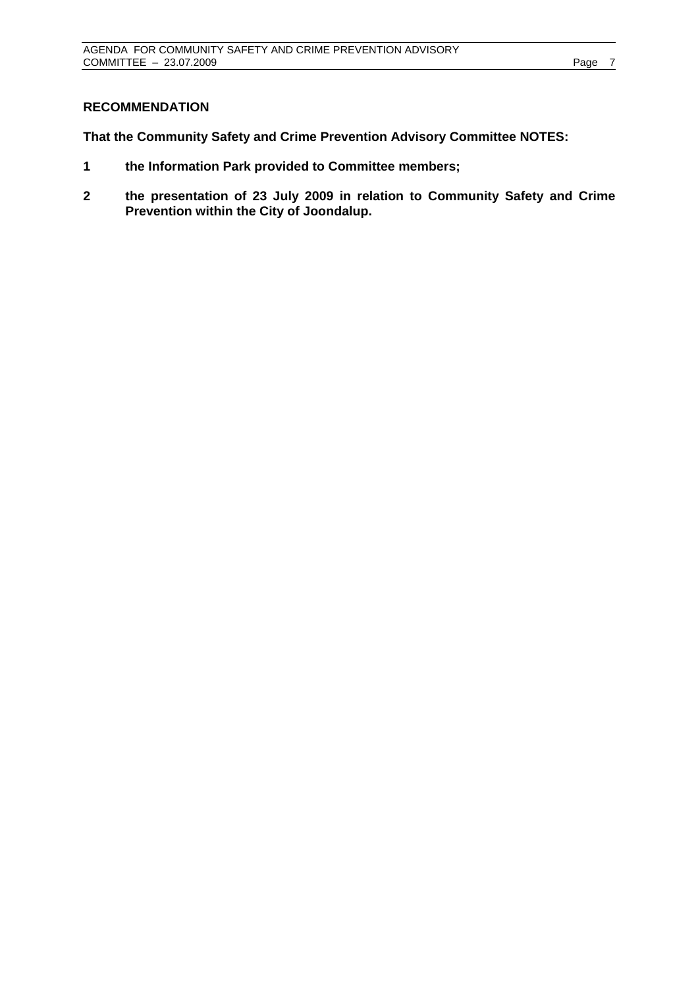#### **RECOMMENDATION**

**That the Community Safety and Crime Prevention Advisory Committee NOTES:** 

- **1 the Information Park provided to Committee members;**
- **2 the presentation of 23 July 2009 in relation to Community Safety and Crime Prevention within the City of Joondalup.**